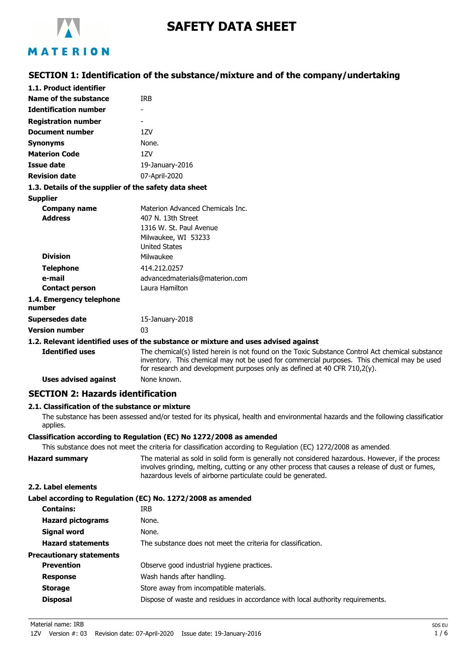

# **SAFETY DATA SHEET**

# MATERION

# **SECTION 1: Identification of the substance/mixture and of the company/undertaking**

| 1.1. Product identifier                               |                                                                                                 |
|-------------------------------------------------------|-------------------------------------------------------------------------------------------------|
| Name of the substance                                 | <b>TRB</b>                                                                                      |
| <b>Identification number</b>                          |                                                                                                 |
| <b>Registration number</b>                            |                                                                                                 |
| <b>Document number</b>                                | 1ZV                                                                                             |
| <b>Synonyms</b>                                       | None.                                                                                           |
| <b>Materion Code</b>                                  | 17V                                                                                             |
| <b>Issue date</b>                                     | 19-January-2016                                                                                 |
| <b>Revision date</b>                                  | 07-April-2020                                                                                   |
| 1.3. Details of the supplier of the safety data sheet |                                                                                                 |
| <b>Supplier</b>                                       |                                                                                                 |
| <b>Company name</b>                                   | Materion Advanced Chemicals Inc.                                                                |
| <b>Address</b>                                        | 407 N. 13th Street                                                                              |
|                                                       | 1316 W. St. Paul Avenue                                                                         |
|                                                       | Milwaukee, WI 53233                                                                             |
|                                                       | <b>United States</b>                                                                            |
| <b>Division</b>                                       | Milwaukee                                                                                       |
| <b>Telephone</b>                                      | 414.212.0257                                                                                    |
| e-mail                                                | advancedmaterials@materion.com                                                                  |
| <b>Contact person</b>                                 | Laura Hamilton                                                                                  |
| 1.4. Emergency telephone<br>number                    |                                                                                                 |
| <b>Supersedes date</b>                                | 15-January-2018                                                                                 |
| <b>Version number</b>                                 | 03                                                                                              |
|                                                       | 1.2. Relevant identified uses of the substance or mixture and uses advised against              |
| <b>Identified uses</b>                                | The chemical(s) listed herein is not found on the Toxic Substance Control Act chemical substand |
|                                                       |                                                                                                 |

The chemical(s) listed herein is not found on the Toxic Substance Control Act chemical substance inventory. This chemical may not be used for commercial purposes. This chemical may be used for research and development purposes only as defined at 40 CFR 710,2(y).

**Uses advised against** None known.

## **SECTION 2: Hazards identification**

#### **2.1. Classification of the substance or mixture**

The substance has been assessed and/or tested for its physical, health and environmental hazards and the following classification applies.

#### **Classification according to Regulation (EC) No 1272/2008 as amended**

This substance does not meet the criteria for classification according to Regulation (EC) 1272/2008 as amended.

**Hazard summary** The material as sold in solid form is generally not considered hazardous. However, if the process involves grinding, melting, cutting or any other process that causes a release of dust or fumes, hazardous levels of airborne particulate could be generated.

#### **2.2. Label elements**

#### **Label according to Regulation (EC) No. 1272/2008 as amended**

| <b>Contains:</b>                | IRB                                                                            |
|---------------------------------|--------------------------------------------------------------------------------|
| <b>Hazard pictograms</b>        | None.                                                                          |
| Signal word                     | None.                                                                          |
| <b>Hazard statements</b>        | The substance does not meet the criteria for classification.                   |
| <b>Precautionary statements</b> |                                                                                |
| <b>Prevention</b>               | Observe good industrial hygiene practices.                                     |
| <b>Response</b>                 | Wash hands after handling.                                                     |
| <b>Storage</b>                  | Store away from incompatible materials.                                        |
| <b>Disposal</b>                 | Dispose of waste and residues in accordance with local authority requirements. |
|                                 |                                                                                |

Material name: IRB SDS EU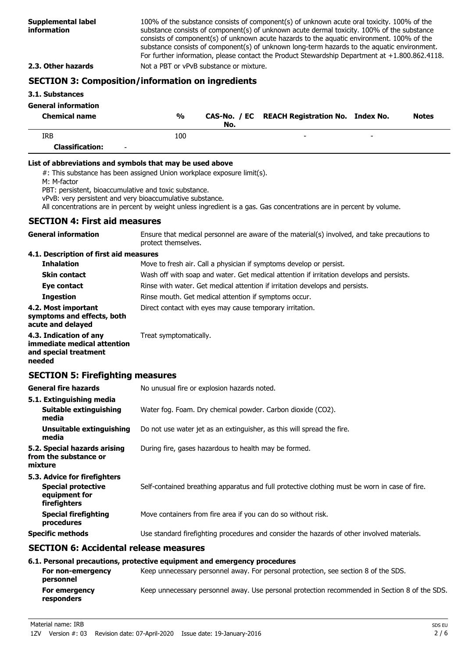100% of the substance consists of component(s) of unknown acute oral toxicity. 100% of the substance consists of component(s) of unknown acute dermal toxicity. 100% of the substance consists of component(s) of unknown acute hazards to the aquatic environment. 100% of the substance consists of component(s) of unknown long-term hazards to the aquatic environment. For further information, please contact the Product Stewardship Department at +1.800.862.4118. **2.3. Other hazards** Not a PBT or vPvB substance or mixture.

## **SECTION 3: Composition/information on ingredients**

#### **3.1. Substances**

### **General information**

| <b>Chemical name</b>   | $\frac{0}{0}$ | No. | CAS-No. / EC REACH Registration No. Index No. |   | Notes |
|------------------------|---------------|-----|-----------------------------------------------|---|-------|
| <b>IRB</b>             | 100           |     | $\overline{\phantom{0}}$                      | - |       |
| <b>Classification:</b> | $\sim$        |     |                                               |   |       |

#### **List of abbreviations and symbols that may be used above**

#: This substance has been assigned Union workplace exposure limit(s).

M: M-factor

PBT: persistent, bioaccumulative and toxic substance.

vPvB: very persistent and very bioaccumulative substance.

All concentrations are in percent by weight unless ingredient is a gas. Gas concentrations are in percent by volume.

#### **SECTION 4: First aid measures**

| <b>General information</b>                                                               | Ensure that medical personnel are aware of the material(s) involved, and take precautions to<br>protect themselves. |  |
|------------------------------------------------------------------------------------------|---------------------------------------------------------------------------------------------------------------------|--|
| 4.1. Description of first aid measures                                                   |                                                                                                                     |  |
| <b>Inhalation</b>                                                                        | Move to fresh air. Call a physician if symptoms develop or persist.                                                 |  |
| <b>Skin contact</b>                                                                      | Wash off with soap and water. Get medical attention if irritation develops and persists.                            |  |
| Eye contact                                                                              | Rinse with water. Get medical attention if irritation develops and persists.                                        |  |
| <b>Ingestion</b>                                                                         | Rinse mouth. Get medical attention if symptoms occur.                                                               |  |
| 4.2. Most important<br>symptoms and effects, both<br>acute and delayed                   | Direct contact with eyes may cause temporary irritation.                                                            |  |
| 4.3. Indication of any<br>immediate medical attention<br>and special treatment<br>needed | Treat symptomatically.                                                                                              |  |
| <b>SECTION 5: Firefighting measures</b>                                                  |                                                                                                                     |  |
| <b>General fire hazards</b>                                                              | No unusual fire or explosion hazards noted.                                                                         |  |
| 5.1. Extinguishing media                                                                 |                                                                                                                     |  |
| <b>Suitable extinguishing</b><br>media                                                   | Water fog. Foam. Dry chemical powder. Carbon dioxide (CO2).                                                         |  |
| <b>Unsuitable extinguishing</b><br>media                                                 | Do not use water jet as an extinguisher, as this will spread the fire.                                              |  |
| 5.2. Special hazards arising<br>from the substance or<br>mixture                         | During fire, gases hazardous to health may be formed.                                                               |  |
| 5.3. Advice for firefighters                                                             |                                                                                                                     |  |
| <b>Special protective</b><br>equipment for<br>firefighters                               | Self-contained breathing apparatus and full protective clothing must be worn in case of fire.                       |  |
| <b>Special firefighting</b><br>procedures                                                | Move containers from fire area if you can do so without risk.                                                       |  |
| <b>Specific methods</b>                                                                  | Use standard firefighting procedures and consider the hazards of other involved materials.                          |  |
| <b>SECTION 6: Accidental release measures</b>                                            |                                                                                                                     |  |
|                                                                                          | 6.1. Personal precautions, protective equipment and emergency procedures                                            |  |
|                                                                                          | $\sim$ $\sim$ $\sim$ $\sim$                                                                                         |  |

# **For non-emergency** Keep unnecessary personnel away. For personal protection, see section 8 of the SDS.

| personnel                          | $1.000$ william and $1.000$ and $1.000$ and $1.000$ and $1.000$ and $1.000$ and $1.000$ and $1.000$ and $1.000$ |
|------------------------------------|-----------------------------------------------------------------------------------------------------------------|
| For emergency<br><b>responders</b> | Keep unnecessary personnel away. Use personal protection recommended in Section 8 of the SDS.                   |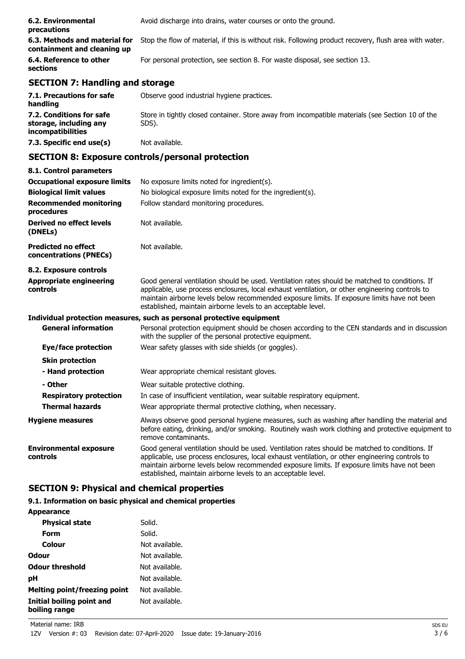| 6.2. Environmental<br>precautions                            | Avoid discharge into drains, water courses or onto the ground.                                         |
|--------------------------------------------------------------|--------------------------------------------------------------------------------------------------------|
| 6.3. Methods and material for<br>containment and cleaning up | Stop the flow of material, if this is without risk. Following product recovery, flush area with water. |
| 6.4. Reference to other<br>sections                          | For personal protection, see section 8. For waste disposal, see section 13.                            |

# **SECTION 7: Handling and storage**

| 7.1. Precautions for safe<br>handling                                          | Observe good industrial hygiene practices.                                                                |
|--------------------------------------------------------------------------------|-----------------------------------------------------------------------------------------------------------|
| 7.2. Conditions for safe<br>storage, including any<br><i>incompatibilities</i> | Store in tightly closed container. Store away from incompatible materials (see Section 10 of the<br>SDS). |
| 7.3. Specific end use(s)                                                       | Not available.                                                                                            |

# **SECTION 8: Exposure controls/personal protection**

| 8.1. Control parameters                              |                                                                                                                                                                                                                                                                                                                                                                    |
|------------------------------------------------------|--------------------------------------------------------------------------------------------------------------------------------------------------------------------------------------------------------------------------------------------------------------------------------------------------------------------------------------------------------------------|
| <b>Occupational exposure limits</b>                  | No exposure limits noted for ingredient(s).                                                                                                                                                                                                                                                                                                                        |
| <b>Biological limit values</b>                       | No biological exposure limits noted for the ingredient(s).                                                                                                                                                                                                                                                                                                         |
| <b>Recommended monitoring</b><br>procedures          | Follow standard monitoring procedures.                                                                                                                                                                                                                                                                                                                             |
| <b>Derived no effect levels</b><br>(DNELs)           | Not available.                                                                                                                                                                                                                                                                                                                                                     |
| <b>Predicted no effect</b><br>concentrations (PNECs) | Not available.                                                                                                                                                                                                                                                                                                                                                     |
| 8.2. Exposure controls                               |                                                                                                                                                                                                                                                                                                                                                                    |
| <b>Appropriate engineering</b><br>controls           | Good general ventilation should be used. Ventilation rates should be matched to conditions. If<br>applicable, use process enclosures, local exhaust ventilation, or other engineering controls to<br>maintain airborne levels below recommended exposure limits. If exposure limits have not been<br>established, maintain airborne levels to an acceptable level. |
|                                                      | Individual protection measures, such as personal protective equipment                                                                                                                                                                                                                                                                                              |
| <b>General information</b>                           | Personal protection equipment should be chosen according to the CEN standards and in discussion<br>with the supplier of the personal protective equipment.                                                                                                                                                                                                         |
| Eye/face protection                                  | Wear safety glasses with side shields (or goggles).                                                                                                                                                                                                                                                                                                                |
| <b>Skin protection</b>                               |                                                                                                                                                                                                                                                                                                                                                                    |
| - Hand protection                                    | Wear appropriate chemical resistant gloves.                                                                                                                                                                                                                                                                                                                        |
| - Other                                              | Wear suitable protective clothing.                                                                                                                                                                                                                                                                                                                                 |
| <b>Respiratory protection</b>                        | In case of insufficient ventilation, wear suitable respiratory equipment.                                                                                                                                                                                                                                                                                          |
| <b>Thermal hazards</b>                               | Wear appropriate thermal protective clothing, when necessary.                                                                                                                                                                                                                                                                                                      |
| <b>Hygiene measures</b>                              | Always observe good personal hygiene measures, such as washing after handling the material and<br>before eating, drinking, and/or smoking. Routinely wash work clothing and protective equipment to<br>remove contaminants.                                                                                                                                        |
| <b>Environmental exposure</b><br>controls            | Good general ventilation should be used. Ventilation rates should be matched to conditions. If<br>applicable, use process enclosures, local exhaust ventilation, or other engineering controls to<br>maintain airborne levels below recommended exposure limits. If exposure limits have not been<br>established, maintain airborne levels to an acceptable level. |

# **SECTION 9: Physical and chemical properties**

#### **9.1. Information on basic physical and chemical properties**

| <b>Appearance</b>                                 |                |
|---------------------------------------------------|----------------|
| <b>Physical state</b>                             | Solid.         |
| Form                                              | Solid.         |
| Colour                                            | Not available. |
| Odour                                             | Not available. |
| <b>Odour threshold</b>                            | Not available. |
| рH                                                | Not available. |
| Melting point/freezing point                      | Not available. |
| <b>Initial boiling point and</b><br>boiling range | Not available. |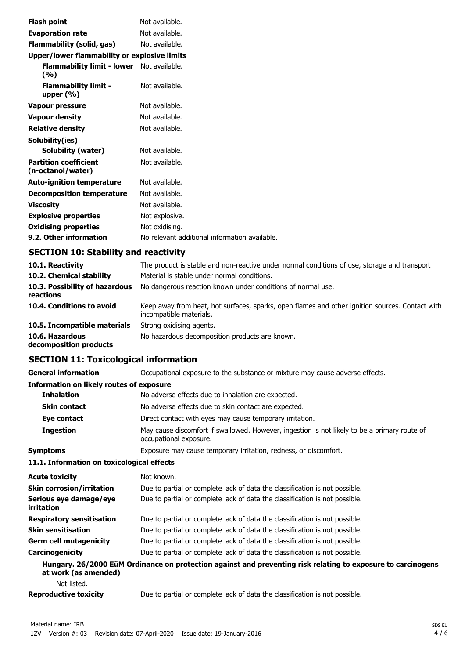| <b>Flash point</b>                                | Not available.                                |
|---------------------------------------------------|-----------------------------------------------|
| <b>Evaporation rate</b>                           | Not available.                                |
| Flammability (solid, gas)                         | Not available.                                |
| Upper/lower flammability or explosive limits      |                                               |
| <b>Flammability limit - lower</b><br>(%)          | Not available.                                |
| <b>Flammability limit -</b><br>upper $(\% )$      | Not available.                                |
| Vapour pressure                                   | Not available.                                |
| Vapour density                                    | Not available.                                |
| <b>Relative density</b>                           | Not available.                                |
| Solubility(ies)                                   |                                               |
| Solubility (water)                                | Not available.                                |
| <b>Partition coefficient</b><br>(n-octanol/water) | Not available.                                |
| <b>Auto-ignition temperature</b>                  | Not available.                                |
| <b>Decomposition temperature</b>                  | Not available.                                |
| Viscosity                                         | Not available.                                |
| <b>Explosive properties</b>                       | Not explosive.                                |
| <b>Oxidising properties</b>                       | Not oxidising.                                |
| 9.2. Other information                            | No relevant additional information available. |

# **SECTION 10: Stability and reactivity**

| 10.1. Reactivity                            | The product is stable and non-reactive under normal conditions of use, storage and transport.                              |
|---------------------------------------------|----------------------------------------------------------------------------------------------------------------------------|
| 10.2. Chemical stability                    | Material is stable under normal conditions.                                                                                |
| 10.3. Possibility of hazardous<br>reactions | No dangerous reaction known under conditions of normal use.                                                                |
| 10.4. Conditions to avoid                   | Keep away from heat, hot surfaces, sparks, open flames and other ignition sources. Contact with<br>incompatible materials. |
| 10.5. Incompatible materials                | Strong oxidising agents.                                                                                                   |
| 10.6. Hazardous<br>decomposition products   | No hazardous decomposition products are known.                                                                             |

# **SECTION 11: Toxicological information**

| <b>General information</b>                      | Occupational exposure to the substance or mixture may cause adverse effects.                                           |  |
|-------------------------------------------------|------------------------------------------------------------------------------------------------------------------------|--|
| <b>Information on likely routes of exposure</b> |                                                                                                                        |  |
| <b>Inhalation</b>                               | No adverse effects due to inhalation are expected.                                                                     |  |
| <b>Skin contact</b>                             | No adverse effects due to skin contact are expected.                                                                   |  |
| Eye contact                                     | Direct contact with eyes may cause temporary irritation.                                                               |  |
| <b>Ingestion</b>                                | May cause discomfort if swallowed. However, ingestion is not likely to be a primary route of<br>occupational exposure. |  |
| <b>Symptoms</b>                                 | Exposure may cause temporary irritation, redness, or discomfort.                                                       |  |
| 11.1. Information on toxicological effects      |                                                                                                                        |  |
| <b>Acute toxicity</b>                           | Not known.                                                                                                             |  |
| <b>Skin corrosion/irritation</b>                | Due to partial or complete lack of data the classification is not possible.                                            |  |
| Serious eye damage/eye<br>irritation            | Due to partial or complete lack of data the classification is not possible.                                            |  |
| <b>Respiratory sensitisation</b>                | Due to partial or complete lack of data the classification is not possible.                                            |  |
| <b>Skin sensitisation</b>                       | Due to partial or complete lack of data the classification is not possible.                                            |  |
| <b>Germ cell mutagenicity</b>                   | Due to partial or complete lack of data the classification is not possible.                                            |  |
| Carcinogenicity                                 | Due to partial or complete lack of data the classification is not possible.                                            |  |
| at work (as amended)                            | Hungary. 26/2000 EüM Ordinance on protection against and preventing risk relating to exposure to carcinogens           |  |
| Not listed.                                     |                                                                                                                        |  |
| <b>Reproductive toxicity</b>                    | Due to partial or complete lack of data the classification is not possible.                                            |  |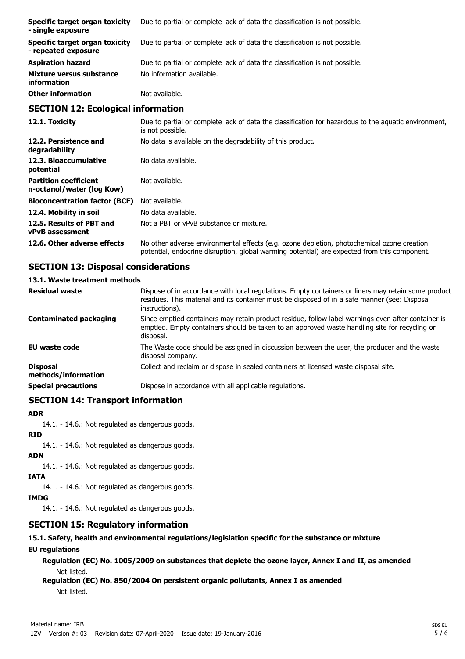| Specific target organ toxicity<br>- single exposure   | Due to partial or complete lack of data the classification is not possible. |
|-------------------------------------------------------|-----------------------------------------------------------------------------|
| Specific target organ toxicity<br>- repeated exposure | Due to partial or complete lack of data the classification is not possible. |
| <b>Aspiration hazard</b>                              | Due to partial or complete lack of data the classification is not possible. |
| Mixture versus substance<br>information               | No information available.                                                   |
| <b>Other information</b>                              | Not available.                                                              |

## **SECTION 12: Ecological information**

| 12.1. Toxicity                                            | Due to partial or complete lack of data the classification for hazardous to the aguatic environment,<br>is not possible.                                                                   |
|-----------------------------------------------------------|--------------------------------------------------------------------------------------------------------------------------------------------------------------------------------------------|
| 12.2. Persistence and<br>degradability                    | No data is available on the degradability of this product.                                                                                                                                 |
| 12.3. Bioaccumulative<br>potential                        | No data available.                                                                                                                                                                         |
| <b>Partition coefficient</b><br>n-octanol/water (log Kow) | Not available.                                                                                                                                                                             |
| <b>Bioconcentration factor (BCF)</b>                      | Not available.                                                                                                                                                                             |
| 12.4. Mobility in soil                                    | No data available.                                                                                                                                                                         |
| 12.5. Results of PBT and<br><b>vPvB</b> assessment        | Not a PBT or vPvB substance or mixture.                                                                                                                                                    |
| 12.6. Other adverse effects                               | No other adverse environmental effects (e.g. ozone depletion, photochemical ozone creation<br>potential, endocrine disruption, global warming potential) are expected from this component. |

# **SECTION 13: Disposal considerations**

#### **13.1. Waste treatment methods**

| <b>Residual waste</b>                  | Dispose of in accordance with local regulations. Empty containers or liners may retain some product<br>residues. This material and its container must be disposed of in a safe manner (see: Disposal<br>instructions). |
|----------------------------------------|------------------------------------------------------------------------------------------------------------------------------------------------------------------------------------------------------------------------|
| Contaminated packaging                 | Since emptied containers may retain product residue, follow label warnings even after container is<br>emptied. Empty containers should be taken to an approved waste handling site for recycling or<br>disposal.       |
| <b>EU waste code</b>                   | The Waste code should be assigned in discussion between the user, the producer and the waste<br>disposal company.                                                                                                      |
| <b>Disposal</b><br>methods/information | Collect and reclaim or dispose in sealed containers at licensed waste disposal site.                                                                                                                                   |
| <b>Special precautions</b>             | Dispose in accordance with all applicable regulations.                                                                                                                                                                 |

## **SECTION 14: Transport information**

#### **ADR**

14.1. - 14.6.: Not regulated as dangerous goods.

**RID**

14.1. - 14.6.: Not regulated as dangerous goods.

### **ADN**

14.1. - 14.6.: Not regulated as dangerous goods.

## **IATA**

14.1. - 14.6.: Not regulated as dangerous goods.

## **IMDG**

14.1. - 14.6.: Not regulated as dangerous goods.

# **SECTION 15: Regulatory information**

# **15.1. Safety, health and environmental regulations/legislation specific for the substance or mixture**

## **EU regulations**

**Regulation (EC) No. 1005/2009 on substances that deplete the ozone layer, Annex I and II, as amended** Not listed.

**Regulation (EC) No. 850/2004 On persistent organic pollutants, Annex I as amended** Not listed.